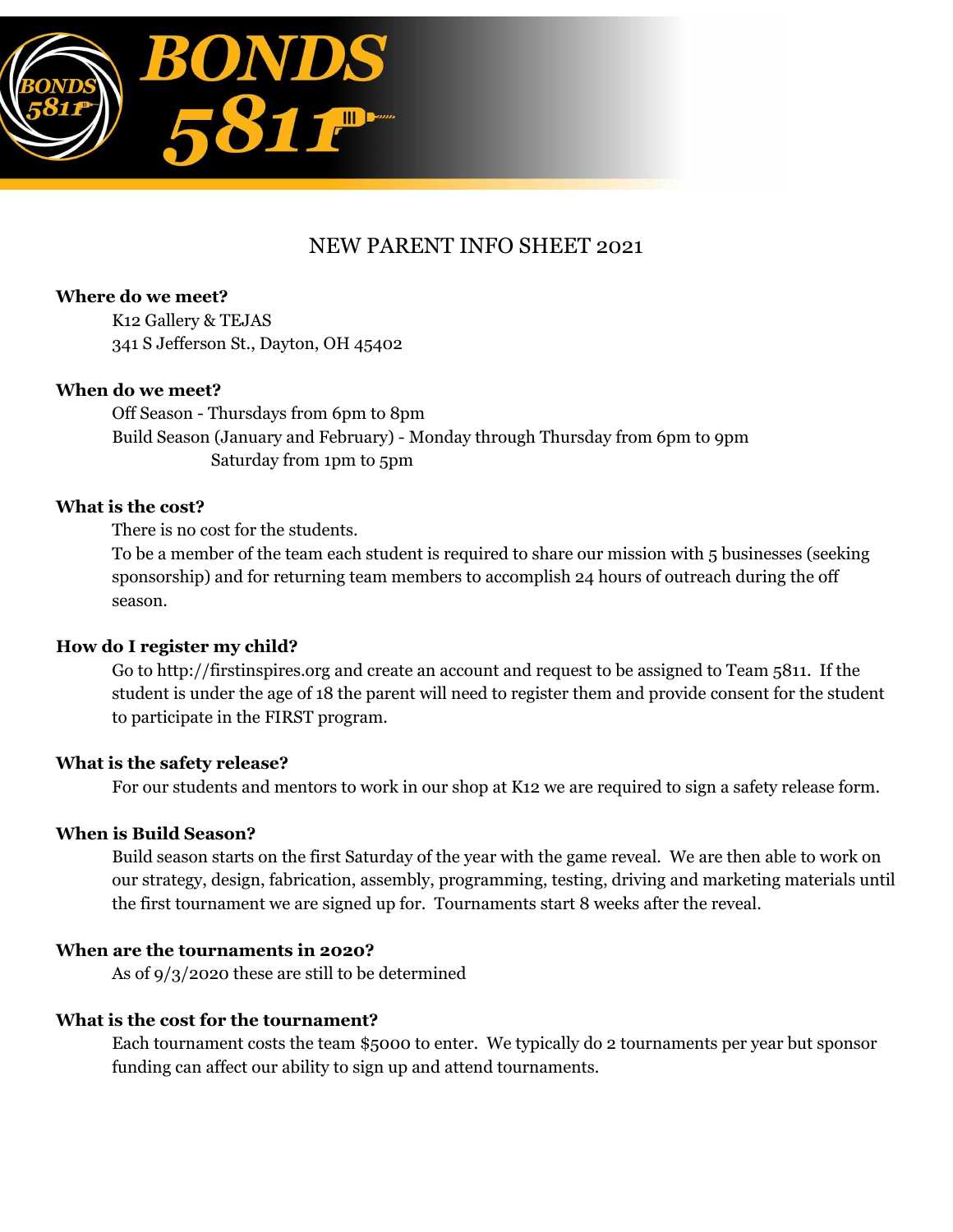

# NEW PARENT INFO SHEET 2021

**Where do we meet?** K12 Gallery & TEJAS 341 S Jefferson St., Dayton, OH 45402

#### **When do we meet?**

Off Season - Thursdays from 6pm to 8pm Build Season (January and February) - Monday through Thursday from 6pm to 9pm Saturday from 1pm to 5pm

#### **What is the cost?**

There is no cost for the students.

To be a member of the team each student is required to share our mission with 5 businesses (seeking sponsorship) and for returning team members to accomplish 24 hours of outreach during the off season.

#### **How do I register my child?**

Go to http://firstinspires.org and create an account and request to be assigned to Team 5811. If the student is under the age of 18 the parent will need to register them and provide consent for the student to participate in the FIRST program.

#### **What is the safety release?**

For our students and mentors to work in our shop at K12 we are required to sign a safety release form.

#### **When is Build Season?**

Build season starts on the first Saturday of the year with the game reveal. We are then able to work on our strategy, design, fabrication, assembly, programming, testing, driving and marketing materials until the first tournament we are signed up for. Tournaments start 8 weeks after the reveal.

#### **When are the tournaments in 2020?**

As of 9/3/2020 these are still to be determined

#### **What is the cost for the tournament?**

Each tournament costs the team \$5000 to enter. We typically do 2 tournaments per year but sponsor funding can affect our ability to sign up and attend tournaments.